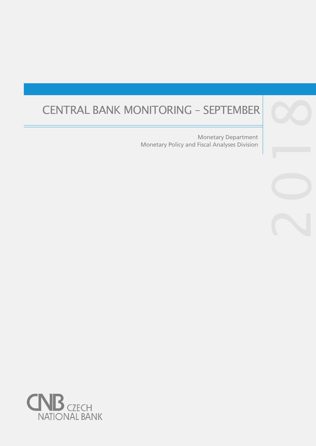# CENTRAL BANK MONITORING – SEPTEMBER 8

Monetary Policy and Fiscal Analyses Division Monetary Department

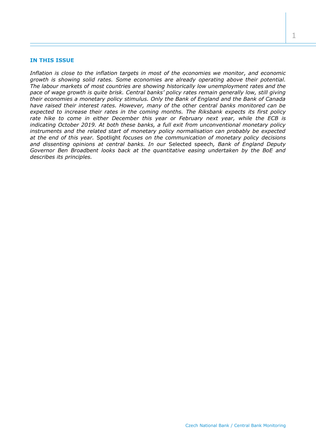#### **IN THIS ISSUE**

*Inflation is close to the inflation targets in most of the economies we monitor, and economic growth is showing solid rates. Some economies are already operating above their potential. The labour markets of most countries are showing historically low unemployment rates and the pace of wage growth is quite brisk. Central banks' policy rates remain generally low, still giving their economies a monetary policy stimulus. Only the Bank of England and the Bank of Canada have raised their interest rates. However, many of the other central banks monitored can be expected to increase their rates in the coming months. The Riksbank expects its first policy rate hike to come in either December this year or February next year, while the ECB is indicating October 2019. At both these banks, a full exit from unconventional monetary policy instruments and the related start of monetary policy normalisation can probably be expected at the end of this year.* Spotlight *focuses on the communication of monetary policy decisions and dissenting opinions at central banks. In our* Selected speech*, Bank of England Deputy Governor Ben Broadbent looks back at the quantitative easing undertaken by the BoE and describes its principles.*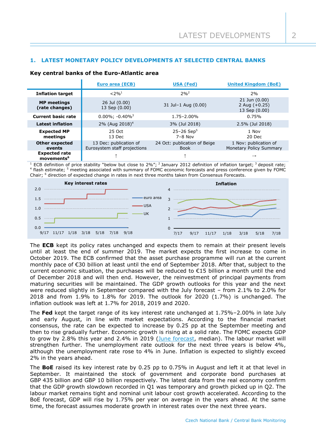# **1. LATEST MONETARY POLICY DEVELOPMENTS AT SELECTED CENTRAL BANKS**

#### **Key central banks of the Euro-Atlantic area**

|                                                | Euro area (ECB)                                        | USA (Fed)                                   | <b>United Kingdom (BoE)</b>                       |  |
|------------------------------------------------|--------------------------------------------------------|---------------------------------------------|---------------------------------------------------|--|
| <b>Inflation target</b>                        | $< 2\%$ <sup>1</sup>                                   | $2%^{2}$                                    | 2%                                                |  |
| <b>MP</b> meetings<br>(rate changes)           | 26 Jul (0.00)<br>13 Sep (0.00)                         | 31 Jul-1 Aug (0.00)                         | 21 Jun (0.00)<br>2 Aug $(+0.25)$<br>13 Sep (0.00) |  |
| <b>Current basic rate</b>                      | $0.00\%$ ; -0.40% <sup>3</sup>                         | $1.75 - 2.00\%$                             | 0.75%                                             |  |
| <b>Latest inflation</b>                        | 2% (Aug $2018$ ) <sup>4</sup>                          | 3% (Jul 2018)                               | 2.5% (Jul 2018)                                   |  |
| <b>Expected MP</b><br>meetings                 | 25 Oct<br>13 Dec                                       | $25 - 26$ Sep <sup>5</sup><br>$7 - 8$ Nov   | 1 Nov<br>20 Dec                                   |  |
| <b>Other expected</b><br>events                | 13 Dec: publication of<br>Eurosystem staff projections | 24 Oct: publication of Beige<br><b>Book</b> | 1 Nov: publication of<br>Monetary Policy Summary  |  |
| <b>Expected rate</b><br>movements <sup>6</sup> |                                                        |                                             |                                                   |  |

<sup>1</sup> ECB definition of price stability "below but close to 2%"; <sup>2</sup> January 2012 definition of inflation target; <sup>3</sup> deposit rate; 4 flash estimate; <sup>5</sup> meeting associated with summary of FOMC economic forecasts and press conference given by FOMC Chair; <sup>6</sup> direction of expected change in rates in next three months taken from Consensus Forecasts.



The **ECB** kept its policy rates unchanged and expects them to remain at their present levels until at least the end of summer 2019. The market expects the first increase to come in October 2019. The ECB confirmed that the asset purchase programme will run at the current monthly pace of €30 billion at least until the end of September 2018. After that, subject to the current economic situation, the purchases will be reduced to  $E15$  billion a month until the end of December 2018 and will then end. However, the reinvestment of principal payments from maturing securities will be maintained. The GDP growth outlooks for this year and the next were reduced slightly in September compared with the July forecast – from 2.1% to 2.0% for 2018 and from 1.9% to 1.8% for 2019. The outlook for 2020 (1.7%) is unchanged. The inflation outlook was left at 1.7% for 2018, 2019 and 2020.

The **Fed** kept the target range of its key interest rate unchanged at 1.75%–2.00% in late July and early August, in line with market expectations. According to the financial market consensus, the rate can be expected to increase by 0.25 pp at the September meeting and then to rise gradually further. Economic growth is rising at a solid rate. The FOMC expects GDP to grow by 2.8% this year and 2.4% in 2019 [\(June forecast,](https://www.federalreserve.gov/monetarypolicy/files/fomcprojtabl20180613.pdf) median). The labour market will strengthen further. The unemployment rate outlook for the next three years is below 4%, although the unemployment rate rose to 4% in June. Inflation is expected to slightly exceed 2% in the years ahead.

The **BoE** raised its key interest rate by 0.25 pp to 0.75% in August and left it at that level in September. It maintained the stock of government and corporate bond purchases at GBP 435 billion and GBP 10 billion respectively. The latest data from the real economy confirm that the GDP growth slowdown recorded in Q1 was temporary and growth picked up in Q2. The labour market remains tight and nominal unit labour cost growth accelerated. According to the BoE forecast, GDP will rise by 1.75% per year on average in the years ahead. At the same time, the forecast assumes moderate growth in interest rates over the next three years.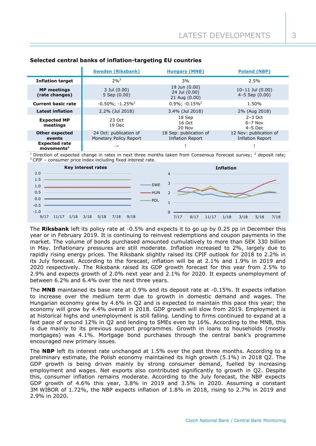|                                                   | <b>Sweden (Riksbank)</b>                         | <b>Hungary (MNB)</b>                            | <b>Poland (NBP)</b>                        |  |
|---------------------------------------------------|--------------------------------------------------|-------------------------------------------------|--------------------------------------------|--|
| <b>Inflation target</b>                           | $2%^{3}$                                         | 3%                                              | 2.5%                                       |  |
| <b>MP</b> meetings<br>(rate changes)              | 3 Jul (0.00)<br>5 Sep (0.00)                     | 19 Jun (0.00)<br>24 Jul (0.00)<br>21 Aug (0.00) | $10-11$ Jul $(0.00)$<br>$4-5$ Sep $(0.00)$ |  |
| <b>Current basic rate</b>                         | $-0.50\%$ ; $-1.25\%$ <sup>2</sup>               | $0.9\%$ ; $-0.15\%$ <sup>2</sup>                | 1.50%                                      |  |
| <b>Latest inflation</b>                           | 2.2% (Jul 2018)                                  | 3.4% (Jul 2018)                                 | 2% (Aug 2018)                              |  |
| <b>Expected MP</b><br>meetings                    | 23 Oct<br>19 Dec                                 | 18 Sep<br>16 Oct<br>20 Nov                      | $2-3$ Oct<br>$6 - 7$ Nov<br>$4-5$ Dec      |  |
| <b>Other expected</b><br>events                   | 24 Oct: publication of<br>Monetary Policy Report | 18 Sep: publication of<br>Inflation Report      | 12 Nov: publication of<br>Inflation Report |  |
| <b>Expected rate</b><br>$move$ ments <sup>1</sup> | $\rightarrow$                                    |                                                 |                                            |  |

## **Selected central banks of inflation-targeting EU countries**

Direction of expected change in rates in next three months taken from Consensus Forecast survey; <sup>2</sup> deposit rate; <sup>3</sup> CPIF – consumer price index including fixed interest rate.



The **Riksbank** left its policy rate at -0.5% and expects it to go up by 0.25 pp in December this year or in February 2019. It is continuing to reinvest redemptions and coupon payments in the market. The volume of bonds purchased amounted cumulatively to more than SEK 330 billion in May. Inflationary pressures are still moderate. Inflation increased to 2%, largely due to rapidly rising energy prices. The Riksbank slightly raised its CPIF outlook for 2018 to 2.2% in its July forecast. According to the forecast, inflation will be at 2.1% and 1.9% in 2019 and 2020 respectively. The Riksbank raised its GDP growth forecast for this year from 2.5% to 2.9% and expects growth of 2.0% next year and 2.1% for 2020. It expects unemployment of between 6.2% and 6.4% over the next three years.

The **MNB** maintained its base rate at 0.9% and its deposit rate at -0.15%. It expects inflation to increase over the medium term due to growth in domestic demand and wages. The Hungarian economy grew by 4.6% in Q2 and is expected to maintain this pace this year; the economy will grow by 4.4% overall in 2018. GDP growth will slow from 2019. Employment is at historical highs and unemployment is still falling. Lending to firms continued to expand at a fast pace of around 12% in Q2 and lending to SMEs even by 16%. According to the MNB, this is due mainly to its previous support programmes. Growth in loans to households (mostly mortgages) was 4.1%. Mortgage bond purchases through the central bank's programme encouraged new primary issues.

The **NBP** left its interest rate unchanged at 1.5% over the past three months. According to a preliminary estimate, the Polish economy maintained its high growth (5.1%) in 2018 Q2. The GDP growth is being driven mainly by strong consumer demand, fuelled by increasing employment and wages. Net exports also contributed significantly to growth in Q2. Despite this, consumer inflation remains moderate. According to the July forecast, the NBP expects GDP growth of 4.6% this year, 3.8% in 2019 and 3.5% in 2020. Assuming a constant 3M WIBOR of 1.72%, the NBP expects inflation of 1.8% in 2018, rising to 2.7% in 2019 and 2.9% in 2020.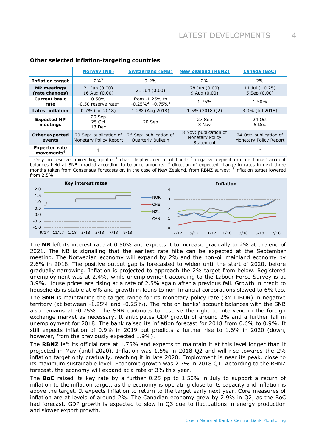|                                                       | <b>Norway (NB)</b>                               | <b>Switzerland (SNB)</b>                          | <b>New Zealand (RBNZ)</b>                                    | <b>Canada (BoC)</b>                              |
|-------------------------------------------------------|--------------------------------------------------|---------------------------------------------------|--------------------------------------------------------------|--------------------------------------------------|
| <b>Inflation target</b>                               | $2%^{5}$                                         | $0 - 2%$                                          | 2%                                                           | 2%                                               |
| <b>MP</b> meetings<br>(rate changes)                  | $21$ Jun $(0.00)$<br>16 Aug (0.00)               | 21 Jun (0.00)                                     | 28 Jun (0.00)<br>9 Aug (0.00)                                | 11 Jul $(+0.25)$<br>5 Sep (0.00)                 |
| <b>Current basic</b><br>rate                          | $0.50\%$<br>$-0.50$ reserve rate <sup>1</sup>    | from $-1.25%$ to<br>$-0.25\%^{2}$ ; $-0.75\%^{3}$ | 1.75%                                                        | 1.50%                                            |
| <b>Latest inflation</b>                               | $0.7\%$ (Jul 2018)                               | 1.2% (Aug 2018)                                   | 1.5% (2018 Q2)                                               | 3.0% (Jul 2018)                                  |
| <b>Expected MP</b><br>meetings                        | 20 Sep<br>25 Oct<br>13 Dec                       | 20 Sep                                            | 27 Sep<br>8 Nov                                              | 24 Oct<br>5 Dec                                  |
| <b>Other expected</b><br>events                       | 20 Sep: publication of<br>Monetary Policy Report | 26 Sep: publication of<br>Quarterly Bulletin      | 8 Nov: publication of<br><b>Monetary Policy</b><br>Statement | 24 Oct: publication of<br>Monetary Policy Report |
| <b>Expected rate</b><br>$move$ movements <sup>4</sup> |                                                  | $\rightarrow$                                     | $\rightarrow$                                                |                                                  |

## **Other selected inflation-targeting countries**

<sup>1</sup> Only on reserves exceeding quota; <sup>2</sup> chart displays centre of band; <sup>3</sup> negative deposit rate on banks' account balances held at SNB, graded according to balance amounts; <sup>4</sup> direction of expected change in rates in next three months taken from Consensus Forecasts or, in the case of New Zealand, from RBNZ survey; <sup>5</sup> inflation target lowered from 2.5%.



The **NB** left its interest rate at 0.50% and expects it to increase gradually to 2% at the end of 2021. The NB is signalling that the earliest rate hike can be expected at the September meeting. The Norwegian economy will expand by 2% and the non-oil mainland economy by 2.6% in 2018. The positive output gap is forecasted to widen until the start of 2020, before gradually narrowing. Inflation is projected to approach the 2% target from below. Registered unemployment was at 2.4%, while unemployment according to the Labour Force Survey is at 3.9%. House prices are rising at a rate of 2.5% again after a previous fall. Growth in credit to households is stable at 6% and growth in loans to non-financial corporations slowed to 6% too.

The **SNB** is maintaining the target range for its monetary policy rate (3M LIBOR) in negative territory (at between -1.25% and -0.25%). The rate on banks' account balances with the SNB also remains at -0.75%. The SNB continues to reserve the right to intervene in the foreign exchange market as necessary. It anticipates GDP growth of around 2% and a further fall in unemployment for 2018. The bank raised its inflation forecast for 2018 from 0.6% to 0.9%. It still expects inflation of 0.9% in 2019 but predicts a further rise to 1.6% in 2020 (down, however, from the previously expected 1.9%).

The **RBNZ** left its official rate at 1.75% and expects to maintain it at this level longer than it projected in May (until 2020). Inflation was 1.5% in 2018 Q2 and will rise towards the 2% inflation target only gradually, reaching it in late 2020. Employment is near its peak, close to its maximum sustainable level. Economic growth was 2.7% in 2018 Q1. According to the RBNZ forecast, the economy will expand at a rate of 3% this year.

The **BoC** raised its key rate by a further 0.25 pp to 1.50% in July to support a return of inflation to the inflation target, as the economy is operating close to its capacity and inflation is above the target. It expects inflation to return to the target early next year. Core measures of inflation are at levels of around 2%. The Canadian economy grew by 2.9% in Q2, as the BoC had forecast. GDP growth is expected to slow in Q3 due to fluctuations in energy production and slower export growth.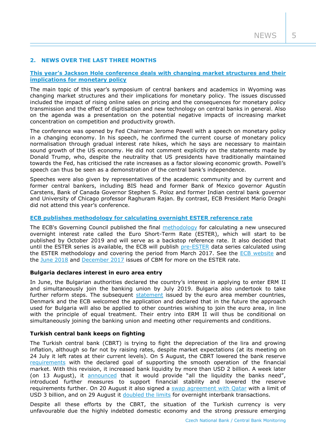## **2. NEWS OVER THE LAST THREE MONTHS**

## **[This year's Jackson Hole conference deals with changing mar](https://www.kansascityfed.org/publications/research/escp/symposiums/escp-2018)ket structures and their implications for [monetary policy](https://www.kansascityfed.org/publications/research/escp/symposiums/escp-2018)**

The main topic of this year's symposium of central bankers and academics in Wyoming was changing market structures and their implications for monetary policy. The issues discussed included the impact of rising online sales on pricing and the consequences for monetary policy transmission and the effect of digitisation and new technology on central banks in general. Also on the agenda was a presentation on the potential negative impacts of increasing market concentration on competition and productivity growth.

The conference was opened by Fed Chairman Jerome Powell with a speech on monetary policy in a changing economy. In his speech, he confirmed the current course of monetary policy normalisation through gradual interest rate hikes, which he says are necessary to maintain sound growth of the US economy. He did not comment explicitly on the statements made by Donald Trump, who, despite the neutrality that US presidents have traditionally maintained towards the Fed, has criticised the rate increases as a factor slowing economic growth. Powell's speech can thus be seen as a demonstration of the central bank's independence.

Speeches were also given by representatives of the academic community and by current and former central bankers, including BIS head and former Bank of Mexico governor Agustín Carstens, Bank of Canada Governor Stephen S. Poloz and former Indian central bank governor and University of Chicago professor Raghuram Rajan. By contrast, ECB President Mario Draghi did not attend this year's conference.

## **[ECB publishes methodology for calculating overnight](http://www.ecb.europa.eu/press/pr/date/2018/html/ecb.pr180628.en.html) ESTER reference rate**

The ECB's Governing Council published the final [methodology](http://www.ecb.europa.eu/paym/initiatives/interest_rate_benchmarks/shared/pdf/ecb.ESTER_methodology_and_policies.en.pdf) for calculating a new unsecured overnight interest rate called the Euro Short-Term Rate (ESTER), which will start to be published by October 2019 and will serve as a backstop reference rate. It also decided that until the ESTER series is available, the ECB will publish [pre-ESTER](http://www.ecb.europa.eu/paym/initiatives/interest_rate_benchmarks/shared/pdf/ecb.Pre-ESTER.en.pdf) data series calculated using the ESTER methodology and covering the period from March 2017. See the [ECB website](http://www.ecb.europa.eu/paym/initiatives/interest_rate_benchmarks/euro_short-term_rate/html/index.en.html) and the [June 2018](http://www.cnb.cz/miranda2/export/sites/www.cnb.cz/en/monetary_policy/monitoring/download/1802_cbm.pdf) and [December 2017](http://www.cnb.cz/miranda2/export/sites/www.cnb.cz/en/monetary_policy/monitoring/download/1704_cbm.pdf) issues of CBM for more on the ESTER rate.

#### **Bulgaria declares interest in euro area entry**

In June, the Bulgarian authorities declared the country's interest in applying to enter ERM II and simultaneously join the banking union by July 2019. Bulgaria also undertook to take further reform steps. The subsequent [statement](http://www.consilium.europa.eu/cs/press/press-releases/2018/07/12/statement-on-bulgaria-s-path-towards-erm-ii-participation/) issued by the euro area member countries, Denmark and the ECB welcomed the application and declared that in the future the approach used for Bulgaria will also be applied to other countries wishing to join the euro area, in line with the principle of equal treatment. Their entry into ERM II will thus be conditional on simultaneously joining the banking union and meeting other requirements and conditions.

## **Turkish central bank keeps on fighting**

The Turkish central bank (CBRT) is trying to fight the depreciation of the lira and growing inflation, although so far not by raising rates, despite market expectations (at its meeting on 24 July it left rates at their current levels). On 5 August, the CBRT lowered the bank reserve [requirements](http://www.tcmb.gov.tr/wps/wcm/connect/EN/TCMB+EN/Main+Menu/Announcements/Press+Releases/2018/ANO2018-30) with the declared goal of supporting the smooth operation of the financial market. With this revision, it increased bank liquidity by more than USD 2 billion. A week later (on 13 August), it [announced](http://www.tcmb.gov.tr/wps/wcm/connect/EN/TCMB+EN/Main+Menu/Announcements/Press+Releases/2018/ANO2018-31) that it would provide "all the liquidity the banks need", introduced further measures to support financial stability and lowered the reserve requirements further. On 20 August it also signed a [swap agreement with Qatar](http://www.tcmb.gov.tr/wps/wcm/connect/EN/TCMB+EN/Main+Menu/Announcements/Press+Releases/2018/ANO2018-33) with a limit of USD 3 billion, and on 29 August it [doubled the limits](http://www.tcmb.gov.tr/wps/wcm/connect/EN/TCMB+EN/Main+Menu/Announcements/Press+Releases/2018/ANO2018-34) for overnight interbank transactions.

Despite all these efforts by the CBRT, the situation of the Turkish currency is very unfavourable due the highly indebted domestic economy and the strong pressure emerging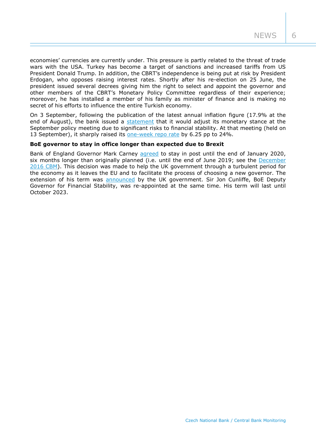economies' currencies are currently under. This pressure is partly related to the threat of trade wars with the USA. Turkey has become a target of sanctions and increased tariffs from US President Donald Trump. In addition, the CBRT's independence is being put at risk by President Erdogan, who opposes raising interest rates. Shortly after his re-election on 25 June, the president issued several decrees giving him the right to select and appoint the governor and other members of the CBRT's Monetary Policy Committee regardless of their experience; moreover, he has installed a member of his family as minister of finance and is making no secret of his efforts to influence the entire Turkish economy.

On 3 September, following the publication of the latest annual inflation figure (17.9% at the end of August), the bank issued a [statement](http://www.tcmb.gov.tr/wps/wcm/connect/EN/TCMB+EN/Main+Menu/Announcements/Press+Releases/2018/ANO2018-37) that it would adjust its monetary stance at the September policy meeting due to significant risks to financial stability. At that meeting (held on 13 September), it sharply raised its [one-week repo rate](http://www.tcmb.gov.tr/wps/wcm/connect/en/tcmb+en/main+menu/announcements/press+releases/2018/ano2018-38) by 6.25 pp to 24%.

#### **BoE governor to stay in office longer than expected due to Brexit**

Bank of England Governor Mark Carney [agreed](https://assets.publishing.service.gov.uk/government/uploads/system/uploads/attachment_data/file/739553/Letter_from_the_Governor_to_the_Chancellor_.pdf?smid=nytcore-ios-share) to stay in post until the end of January 2020, six months longer than originally planned (i.e. until the end of June 2019; see the [December](http://www.cnb.cz/miranda2/export/sites/www.cnb.cz/en/monetary_policy/monitoring/download/1604_cbm.pdf)  [2016 CBM\)](http://www.cnb.cz/miranda2/export/sites/www.cnb.cz/en/monetary_policy/monitoring/download/1604_cbm.pdf). This decision was made to help the UK government through a turbulent period for the economy as it leaves the EU and to facilitate the process of choosing a new governor. The extension of his term was [announced](https://www.gov.uk/government/news/mark-carneys-term-extended-and-sir-jon-cunliffe-re-appointed-at-the-bank-of-england?smid=nytcore-ios-share) by the UK government. Sir Jon Cunliffe, BoE Deputy Governor for Financial Stability, was re-appointed at the same time. His term will last until October 2023.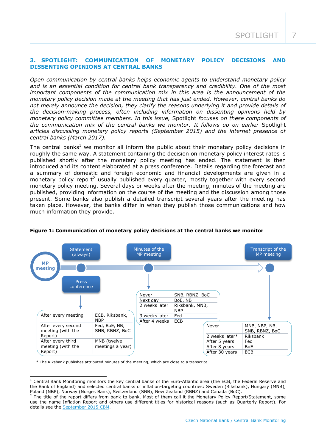## **3. SPOTLIGHT: COMMUNICATION OF MONETARY POLICY DECISIONS AND DISSENTING OPINIONS AT CENTRAL BANKS**

*Open communication by central banks helps economic agents to understand monetary policy and is an essential condition for central bank transparency and credibility. One of the most important components of the communication mix in this area is the announcement of the monetary policy decision made at the meeting that has just ended. However, central banks do not merely announce the decision, they clarify the reasons underlying it and provide details of the decision-making process, often including information on dissenting opinions held by monetary policy committee members. In this issue,* Spotlight *focuses on these components of the communication mix of the central banks we monitor. It follows up on earlier* Spotlight *articles discussing monetary policy reports (September 2015) and the internet presence of central banks (March 2017).*

The central banks<sup>1</sup> we monitor all inform the public about their monetary policy decisions in roughly the same way. A statement containing the decision on monetary policy interest rates is published shortly after the monetary policy meeting has ended. The statement is then introduced and its content elaborated at a press conference. Details regarding the forecast and a summary of domestic and foreign economic and financial developments are given in a monetary policy report<sup>2</sup> usually published every quarter, mostly together with every second monetary policy meeting. Several days or weeks after the meeting, minutes of the meeting are published, providing information on the course of the meeting and the discussion among those present. Some banks also publish a detailed transcript several years after the meeting has taken place. However, the banks differ in when they publish those communications and how much information they provide.



#### **Figure 1: Communication of monetary policy decisions at the central banks we monitor**

\* The Riksbank publishes attributed minutes of the meeting, which are close to a transcript.

-

 $1$  Central Bank Monitoring monitors the key central banks of the Euro-Atlantic area (the ECB, the Federal Reserve and the Bank of England) and selected central banks of inflation-targeting countries: Sweden (Riksbank), Hungary (MNB), Poland (NBP), Norway (Norges Bank), Switzerland (SNB), New Zealand (RBNZ) and Canada (BoC).

<sup>&</sup>lt;sup>2</sup> The title of the report differs from bank to bank. Most of them call it the Monetary Policy Report/Statement, some use the name Inflation Report and others use different titles for historical reasons (such as Quarterly Report). For details see the [September 2015 CBM.](https://www.cnb.cz/miranda2/export/sites/www.cnb.cz/en/monetary_policy/monitoring/download/1503_cbm.pdf)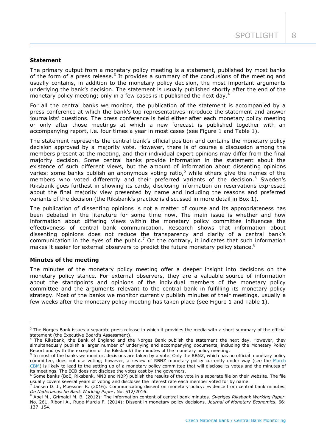### **Statement**

The primary output from a monetary policy meeting is a statement, published by most banks of the form of a press release.<sup>3</sup> It provides a summary of the conclusions of the meeting and usually contains, in addition to the monetary policy decision, the most important arguments underlying the bank's decision. The statement is usually published shortly after the end of the monetary policy meeting; only in a few cases is it published the next day.

For all the central banks we monitor, the publication of the statement is accompanied by a press conference at which the bank's top representatives introduce the statement and answer journalists' questions. The press conference is held either after each monetary policy meeting or only after those meetings at which a new forecast is published together with an accompanying report, i.e. four times a year in most cases (see Figure 1 and Table 1).

The statement represents the central bank's official position and contains the monetary policy decision approved by a majority vote. However, there is of course a discussion among the members present at the meeting, and their individual expert opinions may differ from the final majority decision. Some central banks provide information in the statement about the existence of such different views, but the amount of information about dissenting opinions varies: some banks publish an anonymous voting ratio,<sup>5</sup> while others give the names of the members who voted differently and their preferred variants of the decision.<sup>6</sup> Sweden's Riksbank goes furthest in showing its cards, disclosing information on reservations expressed about the final majority view presented by name and including the reasons and preferred variants of the decision (the Riksbank's practice is discussed in more detail in Box 1).

The publication of dissenting opinions is not a matter of course and its appropriateness has been debated in the literature for some time now. The main issue is whether and how information about differing views within the monetary policy committee influences the effectiveness of central bank communication. Research shows that information about dissenting opinions does not reduce the transparency and clarity of a central bank's communication in the eyes of the public.<sup>7</sup> On the contrary, it indicates that such information makes it easier for external observers to predict the future monetary policy stance.<sup>8</sup>

#### **Minutes of the meeting**

-

The minutes of the monetary policy meeting offer a deeper insight into decisions on the monetary policy stance. For external observers, they are a valuable source of information about the standpoints and opinions of the individual members of the monetary policy committee and the arguments relevant to the central bank in fulfilling its monetary policy strategy. Most of the banks we monitor currently publish minutes of their meetings, usually a few weeks after the monetary policy meeting has taken place (see Figure 1 and Table 1).

 $3$  The Norges Bank issues a separate press release in which it provides the media with a short summary of the official statement (the Executive Board's Assessment).

<sup>&</sup>lt;sup>4</sup> The Riksbank, the Bank of England and the Norges Bank publish the statement the next day. However, they simultaneously publish a larger number of underlying and accompanying documents, including the Monetary Policy Report and (with the exception of the Riksbank) the minutes of the monetary policy meeting.

<sup>&</sup>lt;sup>5</sup> In most of the banks we monitor, decisions are taken by a vote. Only the RBNZ, which has no official monetary policy committee, does not use voting; however, a review of RBNZ monetary policy currently under way (see the March [CBM\)](https://www.cnb.cz/miranda2/export/sites/www.cnb.cz/en/monetary_policy/monitoring/download/1801_cbm.pdf) is likely to lead to the setting up of a monetary policy committee that will disclose its votes and the minutes of its meetings. The ECB does not disclose the votes cast by the governors.

 $6$  Some banks (BoE, Riksbank, MNB and NBP) publish the results of the vote in a separate file on their website. The file usually covers several years of voting and discloses the interest rate each member voted for by name.

<sup>&</sup>lt;sup>7</sup> Jansen D. J., Moessner R. (2016): Communicating dissent on monetary policy: Evidence from central bank minutes. *De Nederlandsche Bank Working Paper*, No. 512/2016.

<sup>8</sup> Apel M., Grimaldi M. B. (2012): The information content of central bank minutes. *Sveriges Riksbank Working Paper*, No. 261. Riboni A., Ruge-Murcia F. (2014): Dissent in monetary policy decisions. *Journal of Monetary Economics*, 66: 137–154.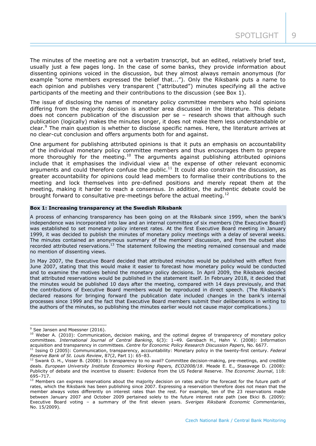The minutes of the meeting are not a verbatim transcript, but an edited, relatively brief text, usually just a few pages long. In the case of some banks, they provide information about dissenting opinions voiced in the discussion, but they almost always remain anonymous (for example "some members expressed the belief that..."). Only the Riksbank puts a name to each opinion and publishes very transparent ("attributed") minutes specifying all the active participants of the meeting and their contributions to the discussion (see Box 1).

The issue of disclosing the names of monetary policy committee members who hold opinions differing from the majority decision is another area discussed in the literature. This debate does not concern publication of the discussion per se – research shows that although such publication (logically) makes the minutes longer, it does not make them less understandable or clear.<sup>9</sup> The main question is whether to disclose specific names. Here, the literature arrives at no clear-cut conclusion and offers arguments both for and against.

One argument for publishing attributed opinions is that it puts an emphasis on accountability of the individual monetary policy committee members and thus encourages them to prepare more thoroughly for the meeting.<sup>10</sup> The arguments against publishing attributed opinions include that it emphasises the individual view at the expense of other relevant economic arguments and could therefore confuse the public.<sup>11</sup> It could also constrain the discussion, as greater accountability for opinions could lead members to formalise their contributions to the meeting and lock themselves into pre-defined positions and merely repeat them at the meeting, making it harder to reach a consensus. In addition, the authentic debate could be brought forward to consultative pre-meetings before the actual meeting.<sup>12</sup>

#### **Box 1: Increasing transparency at the Swedish Riksbank**

A process of enhancing transparency has been going on at the Riksbank since 1999, when the bank's independence was incorporated into law and an internal committee of six members (the Executive Board) was established to set monetary policy interest rates. At the first Executive Board meeting in January 1999, it was decided to publish the minutes of monetary policy meetings with a delay of several weeks. The minutes contained an anonymous summary of the members' discussion, and from the outset also recorded attributed reservations.<sup>13</sup> The statement following the meeting remained consensual and made no mention of dissenting views.

In May 2007, the Executive Board decided that attributed minutes would be published with effect from June 2007, stating that this would make it easier to forecast how monetary policy would be conducted and to examine the motives behind the monetary policy decisions. In April 2009, the Riksbank decided that attributed reservations would be published in the statement itself. In February 2018, it decided that the minutes would be published 10 days after the meeting, compared with 14 days previously, and that the contributions of Executive Board members would be reproduced in direct speech. (The Riksbank's declared reasons for bringing forward the publication date included changes in the bank's internal processes since 1999 and the fact that Executive Board members submit their deliberations in writing to the authors of the minutes, so publishing the minutes earlier would not cause major complications.)

-

<sup>&</sup>lt;sup>9</sup> See Jansen and Moessner (2016).

<sup>&</sup>lt;sup>10</sup> Weber A. (2010): Communication, decision making, and the optimal degree of transparency of monetary policy committees. *International Journal of Central Banking*, 6(3): 1–49. Gersbach H., Hahn V. (2008): Information acquisition and transparency in committees. *Centre for Economic Policy Research Discussion Papers*, No. 6677.

<sup>11</sup> Issing O (2005): Communication, transparency, accountability: Monetary policy in the twenty-first century. *Federal Reserve Bank of St. Louis Review*, 87(2, Part 1): 65–83.

 $12$  Swank O. H., Visser B. (2008): Is transparency to no avail? Committee decision-making, pre-meetings, and credible deals. *European University Institute Economics Working Papers, ECO2008/18*. Meade E. E., Stasavage D. (2008): Publicity of debate and the incentive to dissent: Evidence from the US Federal Reserve. *The Economic Journal*, 118: 695–717.

 $13$  Members can express reservations about the majority decision on rates and/or the forecast for the future path of rates, which the Riksbank has been publishing since 2007. Expressing a reservation therefore does not mean that the member always votes differently on interest rates than the rest. For example, ten of the 23 reservations made between January 2007 and October 2009 pertained solely to the future interest rate path (see Ekici B. (2009): Executive Board voting – a summary of the first eleven years. *Sveriges Riksbank Economic Commentaries*, No. 15/2009).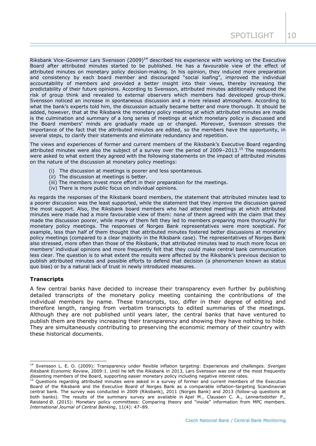Riksbank Vice-Governor Lars Svensson  $(2009)^{14}$  described his experience with working on the Executive Board after attributed minutes started to be published. He has a favourable view of the effect of attributed minutes on monetary policy decision-making. In his opinion, they induced more preparation and consistency by each board member and discouraged "social loafing", improved the individual accountability of members and provided a better insight into their views, thereby increasing the predictability of their future opinions. According to Svensson, attributed minutes additionally reduced the risk of group think and revealed to external observers which members had developed group-think. Svensson noticed an increase in spontaneous discussion and a more relaxed atmosphere. According to what the bank's experts told him, the discussion actually became better and more thorough. It should be added, however, that at the Riksbank the monetary policy meeting at which attributed minutes are made is the culmination and summary of a long series of meetings at which monetary policy is discussed and the Board members' minds are gradually made up or changed. Moreover, Svensson stresses the importance of the fact that the attributed minutes are edited, so the members have the opportunity, in several steps, to clarify their statements and eliminate redundancy and repetition.

The views and experiences of former and current members of the Riksbank's Executive Board regarding attributed minutes were also the subject of a survey over the period of  $2009-2013$ .<sup>15</sup> The respondents were asked to what extent they agreed with the following statements on the impact of attributed minutes on the nature of the discussion at monetary policy meetings:

- (i) The discussion at meetings is poorer and less spontaneous.
- (ii) The discussion at meetings is better.
- (iii) The members invest more effort in their preparation for the meetings.
- (iv) There is more public focus on individual opinions.

As regards the responses of the Riksbank board members, the statement that attributed minutes lead to a poorer discussion was the least supported, while the statement that they improve the discussion gained the most support. Also, the Riksbank board members who had attended meetings at which attributed minutes were made had a more favourable view of them: none of them agreed with the claim that they made the discussion poorer, while many of them felt they led to members preparing more thoroughly for monetary policy meetings. The responses of Norges Bank representatives were more sceptical. For example, less than half of them thought that attributed minutes fostered better discussions at monetary policy meetings (compared to a clear majority in the Riksbank case). The representatives of Norges Bank also stressed, more often than those of the Riksbank, that attributed minutes lead to much more focus on members' individual opinions and more frequently felt that they could make central bank communication less clear. The question is to what extent the results were affected by the Riksbank's previous decision to publish attributed minutes and possible efforts to defend that decision (a phenomenon known as status quo bias) or by a natural lack of trust in newly introduced measures.

#### **Transcripts**

A few central banks have decided to increase their transparency even further by publishing detailed transcripts of the monetary policy meeting containing the contributions of the individual members by name. These transcripts, too, differ in their degree of editing and therefore length, ranging from verbatim transcripts to edited summaries of the meetings. Although they are not published until years later, the central banks that have ventured to publish them are thereby increasing their transparency and showing they have nothing to hide. They are simultaneously contributing to preserving the economic memory of their country with these historical documents.

<sup>-</sup><sup>14</sup> Svensson L. E. O. (2009): Transparency under flexible inflation targeting: Experiences and challenges. *Sveriges Riksbank Economic Review*, 2009:1. Until he left the Riksbank in 2013, Lars Svensson was one of the most frequently dissenting members of the Board, supporting easier monetary policy including negative interest rates.

<sup>&</sup>lt;sup>15</sup> Questions regarding attributed minutes were asked in a survey of former and current members of the Executive Board of the Riksbank and the Executive Board of Norges Bank as a comparable inflation-targeting Scandinavian central bank. The survey was conducted in 2009 (Riksbank), 2011 (Norges Bank) and 2013 (follow-up questions at both banks). The results of the summary survey are available in Apel M., Claussen C. A., Lennartsdotter P., Røisland Ø. (2015): Monetary policy committees: Comparing theory and "inside" information from MPC members. *International Journal of Central Banking*, 11(4): 47–89.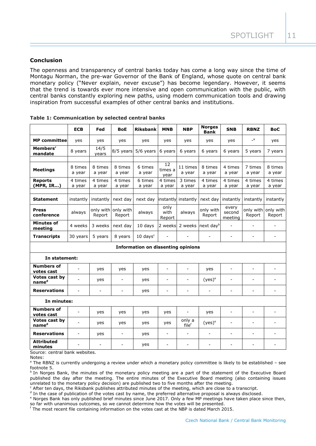### **Conclusion**

The openness and transparency of central banks today has come a long way since the time of Montagu Norman, the pre-war Governor of the Bank of England, whose quote on central bank monetary policy ("Never explain, never excuse") has become legendary. However, it seems that the trend is towards ever more intensive and open communication with the public, with central banks constantly exploring new paths, using modern communication tools and drawing inspiration from successful examples of other central banks and institutions.

|                                           | <b>ECB</b>               | Fed                      | BoE                           | <b>Riksbank</b>                | <b>MNB</b>               | <b>NBP</b>                  | <b>Norges</b><br><b>Bank</b> | <b>SNB</b>                 | <b>RBNZ</b>              | <b>BoC</b>               |
|-------------------------------------------|--------------------------|--------------------------|-------------------------------|--------------------------------|--------------------------|-----------------------------|------------------------------|----------------------------|--------------------------|--------------------------|
| <b>MP</b> committee                       | yes                      | yes                      | yes                           | yes                            | yes                      | yes                         | yes                          | yes                        | $\overline{\phantom{a}}$ | yes                      |
| Members'<br>mandate                       | 8 years                  | 14/5<br>years            | 8/5 years                     | 5/6 years                      | 6 years                  | 6 years                     | 6 years                      | 6 years                    | 5 years                  | 7 years                  |
| <b>Meetings</b>                           | 8 times<br>a year        | 8 times<br>a year        | 8 times<br>a year             | 6 times<br>a year              | 12<br>times a<br>year    | 11 times<br>a year          | 8 times<br>a year            | 4 times<br>a year          | 7 times<br>a year        | 8 times<br>a year        |
| <b>Reports</b><br>(MPR, IR)               | 4 times<br>a year        | 4 times<br>a year        | 4 times<br>a year             | 6 times<br>a year              | 4 times<br>a year        | 3 times<br>a year           | 4 times<br>a year            | 4 times<br>a year          | 4 times<br>a year        | 4 times<br>a year        |
| <b>Statement</b>                          | instantly                | instantly                | next day                      | next day                       | instantly                | instantly                   | next day                     | instantly                  | instantly                | instantly                |
| <b>Press</b><br>conference                | always                   | Report                   | only with only with<br>Report | always                         | only<br>with<br>Report   | always                      | only with<br>Report          | every<br>second<br>meeting | only with<br>Report      | only with<br>Report      |
| <b>Minutes of</b><br>meeting              | 4 weeks                  | 3 weeks                  | next day                      | 10 days                        | 2 weeks                  | 2 weeks                     | next day <sup>b</sup>        | $\overline{a}$             | $\overline{a}$           |                          |
| <b>Transcripts</b>                        | 30 years                 | 5 years                  | 8 years                       | $10 \text{ days}$ <sup>c</sup> | $\overline{a}$           |                             | ٠                            | $\sim$                     | ٠                        | $\sim$                   |
| <b>Information on dissenting opinions</b> |                          |                          |                               |                                |                          |                             |                              |                            |                          |                          |
| In statement:                             |                          |                          |                               |                                |                          |                             |                              |                            |                          |                          |
| <b>Numbers of</b><br>votes cast           | $\blacksquare$           | yes                      | yes                           | yes                            | $\overline{a}$           |                             | yes                          | $\overline{a}$             |                          | ÷,                       |
| Votes cast by<br>name <sup>d</sup>        | L.                       | yes                      | $\overline{\phantom{a}}$      | yes                            | $\overline{a}$           |                             | $(yes)^e$                    | $\overline{a}$             | $\overline{a}$           |                          |
| <b>Reservations</b>                       | $\sim$                   | $\blacksquare$           | $\blacksquare$                | yes                            | $\blacksquare$           | $\sim$                      | $\overline{\phantom{a}}$     | $\blacksquare$             | $\blacksquare$           | $\overline{\phantom{a}}$ |
| In minutes:                               |                          |                          |                               |                                |                          |                             |                              |                            |                          |                          |
| <b>Numbers of</b><br>votes cast           | $\blacksquare$           | yes                      | yes                           | yes                            | yes                      | $\overline{\phantom{a}}$    | yes                          | $\overline{\phantom{a}}$   | ÷,                       | $\blacksquare$           |
| Votes cast by<br>name <sup>d</sup>        | $\blacksquare$           | yes                      | yes                           | yes                            | yes                      | only a<br>file <sup>t</sup> | $(yes)^e$                    | $\overline{\phantom{a}}$   | $\overline{\phantom{0}}$ | $\overline{a}$           |
| <b>Reservations</b>                       | $\overline{\phantom{a}}$ | yes                      | $\blacksquare$                | yes                            | $\overline{\phantom{a}}$ | $\overline{\phantom{a}}$    | $\overline{\phantom{a}}$     | $\overline{\phantom{a}}$   | $\overline{\phantom{0}}$ | $\blacksquare$           |
| <b>Attributed</b><br>minutes              |                          | $\overline{\phantom{a}}$ |                               | yes                            | $\overline{\phantom{a}}$ |                             |                              | $\overline{a}$             |                          |                          |

|  |  | Table 1: Communication by selected central banks |  |  |  |  |
|--|--|--------------------------------------------------|--|--|--|--|
|--|--|--------------------------------------------------|--|--|--|--|

Source: central bank websites.

Notes:

<sup>a</sup> The RBNZ is currently undergoing a review under which a monetary policy committee is likely to be established – see footnote 5.

<sup>b</sup> In Norges Bank, the minutes of the monetary policy meeting are a part of the statement of the Executive Board published the day after the meeting. The entire minutes of the Executive Board meeting (also containing issues unrelated to the monetary policy decision) are published two to five months after the meeting.

<sup>c</sup> After ten days, the Riksbank publishes attributed minutes of the meeting, which are close to a transcript.

<sup>d</sup> In the case of publication of the votes cast by name, the preferred alternative proposal is always disclosed.

<sup>e</sup> Norges Bank has only published brief minutes since June 2017. Only a few MP meetings have taken place since then, so far with unanimous outcomes, so we cannot determine how the votes will be presented.

<sup>f</sup> The most recent file containing information on the votes cast at the NBP is dated March 2015.